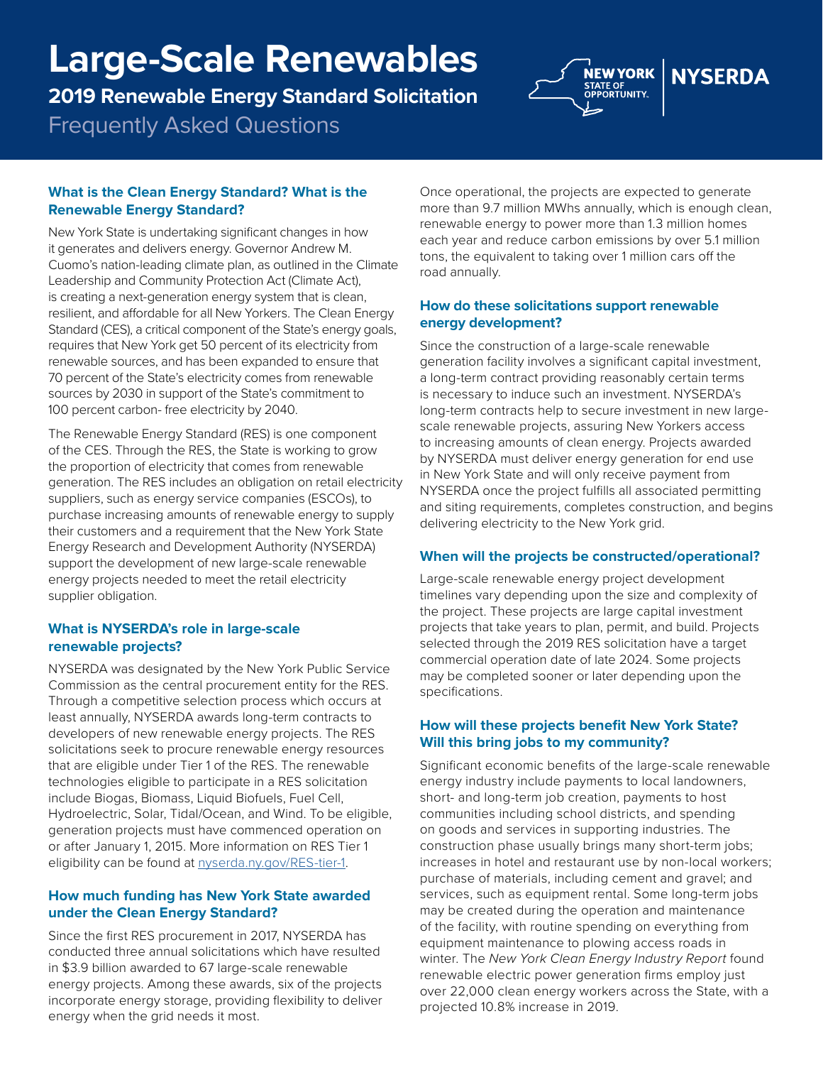# **Large-Scale Renewables**

**2019 Renewable Energy Standard Solicitation** 

Frequently Asked Questions



## **What is the Clean Energy Standard? What is the Renewable Energy Standard?**

New York State is undertaking signifcant changes in how it generates and delivers energy. Governor Andrew M. Cuomo's nation-leading climate plan, as outlined in the Climate Leadership and Community Protection Act (Climate Act), is creating a next-generation energy system that is clean, resilient, and affordable for all New Yorkers. The Clean Energy Standard (CES), a critical component of the State's energy goals, requires that New York get 50 percent of its electricity from renewable sources, and has been expanded to ensure that 70 percent of the State's electricity comes from renewable sources by 2030 in support of the State's commitment to 100 percent carbon- free electricity by 2040.

The Renewable Energy Standard (RES) is one component of the CES. Through the RES, the State is working to grow the proportion of electricity that comes from renewable generation. The RES includes an obligation on retail electricity suppliers, such as energy service companies (ESCOs), to purchase increasing amounts of renewable energy to supply their customers and a requirement that the New York State Energy Research and Development Authority (NYSERDA) support the development of new large-scale renewable energy projects needed to meet the retail electricity supplier obligation.

## **What is NYSERDA's role in large-scale renewable projects?**

NYSERDA was designated by the New York Public Service Commission as the central procurement entity for the RES. Through a competitive selection process which occurs at least annually, NYSERDA awards long-term contracts to developers of new renewable energy projects. The RES solicitations seek to procure renewable energy resources that are eligible under Tier 1 of the RES. The renewable technologies eligible to participate in a RES solicitation include Biogas, Biomass, Liquid Biofuels, Fuel Cell, Hydroelectric, Solar, Tidal/Ocean, and Wind. To be eligible, generation projects must have commenced operation on or after January 1, 2015. More information on RES Tier 1 eligibility can be found at [nyserda.ny.gov/RES-tier-1](http://nyserda.ny.gov/RES-tier-1).

# **How much funding has New York State awarded under the Clean Energy Standard?**

Since the first RES procurement in 2017, NYSERDA has conducted three annual solicitations which have resulted in \$3.9 billion awarded to 67 large-scale renewable energy projects. Among these awards, six of the projects incorporate energy storage, providing fexibility to deliver energy when the grid needs it most.

Once operational, the projects are expected to generate more than 9.7 million MWhs annually, which is enough clean, renewable energy to power more than 1.3 million homes each year and reduce carbon emissions by over 5.1 million tons, the equivalent to taking over 1 million cars off the road annually.

## **How do these solicitations support renewable energy development?**

Since the construction of a large-scale renewable generation facility involves a signifcant capital investment, a long-term contract providing reasonably certain terms is necessary to induce such an investment. NYSERDA's long-term contracts help to secure investment in new largescale renewable projects, assuring New Yorkers access to increasing amounts of clean energy. Projects awarded by NYSERDA must deliver energy generation for end use in New York State and will only receive payment from NYSERDA once the project fulflls all associated permitting and siting requirements, completes construction, and begins delivering electricity to the New York grid.

# **When will the projects be constructed/operational?**

Large-scale renewable energy project development timelines vary depending upon the size and complexity of the project. These projects are large capital investment projects that take years to plan, permit, and build. Projects selected through the 2019 RES solicitation have a target commercial operation date of late 2024. Some projects may be completed sooner or later depending upon the specifications.

## **How will these projects benefit New York State? Will this bring jobs to my community?**

Significant economic benefits of the large-scale renewable energy industry include payments to local landowners, short- and long-term job creation, payments to host communities including school districts, and spending on goods and services in supporting industries. The construction phase usually brings many short-term jobs; increases in hotel and restaurant use by non-local workers; purchase of materials, including cement and gravel; and services, such as equipment rental. Some long-term jobs may be created during the operation and maintenance of the facility, with routine spending on everything from equipment maintenance to plowing access roads in winter. The *New York Clean Energy Industry Report* found renewable electric power generation firms employ just over 22,000 clean energy workers across the State, with a projected 10.8% increase in 2019.